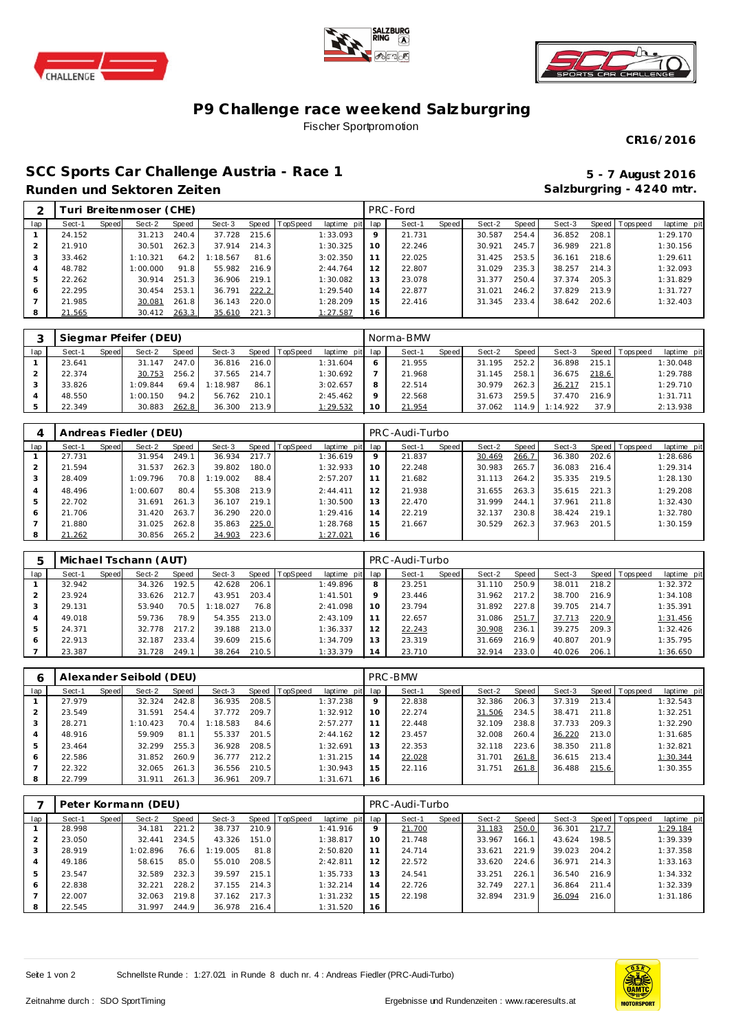





## **P9 Challenge race weekend Salzburgring** Fischer Sportpromotion

**CR16/2016**

## **SCC Sports Car Challenge Austria - Race 1 5 - 7 August 2016 Runden und Sektoren Zeiten**

**Salzburgring - 4240 mtr.**

|     |        |       | Turi Breitenmoser (CHE) |       |          |         |          |                 |    | PRC-Ford |       |        |       |        |       |                |             |
|-----|--------|-------|-------------------------|-------|----------|---------|----------|-----------------|----|----------|-------|--------|-------|--------|-------|----------------|-------------|
| lap | Sect-1 | Speed | Sect-2                  | Speed | Sect-3   | Speed l | TopSpeed | laptime pit lap |    | Sect-1   | Speed | Sect-2 | Speed | Sect-3 |       | Speed Topspeed | laptime pit |
|     | 24.152 |       | 31.213                  | 240.4 | 37.728   | 215.6   |          | 1:33.093        | 9  | 21.731   |       | 30.587 | 254.4 | 36.852 | 208.1 |                | 1:29.170    |
|     | 21.910 |       | 30.501                  | 262.3 | 37.914   | 214.3   |          | 1:30.325        | 10 | 22.246   |       | 30.921 | 245.7 | 36.989 | 221.8 |                | 1:30.156    |
|     | 33.462 |       | 1:10.321                | 64.2  | 1:18.567 | 81.6    |          | 3:02.350        | 11 | 22.025   |       | 31.425 | 253.5 | 36.161 | 218.6 |                | 1:29.611    |
|     | 48.782 |       | 1:00.000                | 91.8  | 55.982   | 216.9   |          | 2:44.764        | 12 | 22.807   |       | 31.029 | 235.3 | 38.257 | 214.3 |                | 1:32.093    |
|     | 22.262 |       | 30.914                  | 251.3 | 36.906   | 219.1   |          | 1:30.082        | 13 | 23.078   |       | 31.377 | 250.4 | 37.374 | 205.3 |                | 1:31.829    |
| 6   | 22.295 |       | 30.454                  | 253.1 | 36.791   | 222.2   |          | 1:29.540        | 14 | 22.877   |       | 31.021 | 246.2 | 37.829 | 213.9 |                | 1:31.727    |
|     | 21.985 |       | 30.081                  | 261.8 | 36.143   | 220.0   |          | 1:28.209        | 15 | 22.416   |       | 31.345 | 233.4 | 38.642 | 202.6 |                | 1:32.403    |
|     | 21.565 |       | 30.412                  | 263.3 | 35.610   | 221.3   |          | 1:27.587        | 16 |          |       |        |       |        |       |                |             |
|     |        |       |                         |       |          |         |          |                 |    |          |       |        |       |        |       |                |             |

|     |        |       | Siegmar Pfeifer (DEU) |              |          |       |                |                 |         | Norma-BMW |       |        |       |          |       |                   |             |
|-----|--------|-------|-----------------------|--------------|----------|-------|----------------|-----------------|---------|-----------|-------|--------|-------|----------|-------|-------------------|-------------|
| lap | Sect-1 | Speed | Sect-2                | <b>Speed</b> | Sect-3   |       | Speed TopSpeed | laptime pit lap |         | Sect-1    | Speed | Sect-2 | Speed | Sect-3   |       | Speed   Tops peed | laptime pit |
|     | 23.641 |       | 31.147                | 247.0        | 36.816   | 216.0 |                | 1:31.604        | O       | 21.955    |       | 31.195 | 252.2 | 36.898   | 215.1 |                   | 1:30.048    |
|     | 22.374 |       | 30.753                | 256.2        | 37.565   | 214.7 |                | 1:30.692        |         | 21.968    |       | 31.145 | 258.  | 36.675   | 218.6 |                   | 1:29.788    |
|     | 33.826 |       | 1:09.844              | 69.4         | 1:18.987 | 86.1  |                | 3:02.657        | 8       | 22.514    |       | 30.979 | 262.3 | 36.217   | 215.1 |                   | 1:29.710    |
|     | 48.550 |       | 1:00.150              | 94.2         | 56.762   | 210.1 |                | 2:45.462        | $\circ$ | 22.568    |       | 31.673 | 259.5 | 37.470   | 216.9 |                   | 1:31.711    |
|     | 22.349 |       | 30.883                | 262.8        | 36.300   | 213.9 |                | 1:29.532        | 10      | 21.954    |       | 37.062 | 114.9 | 1:14.922 | 37.9  |                   | 2:13.938    |

|     |        |       | Andreas Fiedler (DEU) |       |          |       |                |             |     | PRC-Audi-Turbo |       |        |       |        |       |                |             |
|-----|--------|-------|-----------------------|-------|----------|-------|----------------|-------------|-----|----------------|-------|--------|-------|--------|-------|----------------|-------------|
| lap | Sect-1 | Speed | Sect-2                | Speed | Sect-3   |       | Speed TopSpeed | laptime pit | lap | Sect-1         | Speed | Sect-2 | Speed | Sect-3 |       | Speed Topspeed | laptime pit |
|     | 27.731 |       | 31.954                | 249.1 | 36.934   | 217.7 |                | 1:36.619    | 9   | 21.837         |       | 30.469 | 266.7 | 36.380 | 202.6 |                | 1:28.686    |
|     | 21.594 |       | 31.537                | 262.3 | 39.802   | 180.0 |                | 1:32.933    | 10  | 22.248         |       | 30.983 | 265.7 | 36.083 | 216.4 |                | 1:29.314    |
|     | 28.409 |       | 1:09.796              | 70.8  | 1:19.002 | 88.4  |                | 2:57.207    | 11  | 21.682         |       | 31.113 | 264.2 | 35.335 | 219.5 |                | 1:28.130    |
| 4   | 48.496 |       | 1:00.607              | 80.4  | 55.308   | 213.9 |                | 2: 44.411   | 12  | 21.938         |       | 31.655 | 263.3 | 35.615 | 221.3 |                | 1:29.208    |
| 5   | 22.702 |       | 31.691                | 261.3 | 36.107   | 219.1 |                | 1:30.500    | 13  | 22.470         |       | 31.999 | 244.1 | 37.961 | 211.8 |                | 1:32.430    |
| 6   | 21.706 |       | 31.420                | 263.7 | 36.290   | 220.0 |                | 1:29.416    | 14  | 22.219         |       | 32.137 | 230.8 | 38.424 | 219.1 |                | 1:32.780    |
|     | 21.880 |       | 31.025                | 262.8 | 35.863   | 225.0 |                | 1:28.768    | 15  | 21.667         |       | 30.529 | 262.3 | 37.963 | 201.5 |                | 1:30.159    |
| 8   | 21.262 |       | 30.856                | 265.2 | 34.903   | 223.6 |                | 1:27.021    | 16  |                |       |        |       |        |       |                |             |

|     |        |       | Michael Tschann (AUT) |       |          |       |                |             |         | PRC-Audi-Turbo |       |        |       |        |       |                 |             |
|-----|--------|-------|-----------------------|-------|----------|-------|----------------|-------------|---------|----------------|-------|--------|-------|--------|-------|-----------------|-------------|
| lap | Sect-1 | Speed | Sect-2                | Speed | Sect-3   |       | Speed TopSpeed | laptime pit | lap     | Sect-1         | Speed | Sect-2 | Speed | Sect-3 |       | Speed Tops peed | laptime pit |
|     | 32.942 |       | 34.326                | 192.5 | 42.628   | 206.1 |                | 1:49.896    | 8       | 23.251         |       | 31.110 | 250.9 | 38.011 | 218.2 |                 | 1:32.372    |
|     | 23.924 |       | 33.626                | 212.7 | 43.951   | 203.4 |                | 1: 41.501   | $\circ$ | 23.446         |       | 31.962 | 217.2 | 38.700 | 216.9 |                 | 1:34.108    |
|     | 29.131 |       | 53.940                | 70.5  | 1:18.027 | 76.8  |                | 2:41.098    | 10      | 23.794         |       | 31.892 | 227.8 | 39.705 | 214.7 |                 | 1:35.391    |
| 4   | 49.018 |       | 59.736                | 78.9  | 54.355   | 213.0 |                | 2:43.109    | 11      | 22.657         |       | 31.086 | 251.7 | 37.713 | 220.9 |                 | 1:31.456    |
| 5   | 24.371 |       | 32.778                | 217.2 | 39.188   | 213.0 |                | 1:36.337    | 12      | 22.243         |       | 30.908 | 236.1 | 39.275 | 209.3 |                 | 1:32.426    |
| 6   | 22.913 |       | 32.187                | 233.4 | 39.609   | 215.6 |                | 1:34.709    | 13      | 23.319         |       | 31.669 | 216.9 | 40.807 | 201.9 |                 | 1:35.795    |
|     | 23.387 |       | 31.728                | 249.1 | 38.264   | 210.5 |                | 1:33.379    | 14      | 23.710         |       | 32.914 | 233.0 | 40.026 | 206.1 |                 | 1:36.650    |

| O   |        |       | Alexander Seibold (DEU) |       |          |       |                |                 |         | PRC-BMW |       |        |       |        |       |                |             |
|-----|--------|-------|-------------------------|-------|----------|-------|----------------|-----------------|---------|---------|-------|--------|-------|--------|-------|----------------|-------------|
| lap | Sect-1 | Speed | Sect-2                  | Speed | Sect-3   |       | Speed TopSpeed | laptime pit lap |         | Sect-1  | Speed | Sect-2 | Speed | Sect-3 |       | Speed Topspeed | laptime pit |
|     | 27.979 |       | 32.324                  | 242.8 | 36.935   | 208.5 |                | 1:37.238        | $\circ$ | 22.838  |       | 32.386 | 206.3 | 37.319 | 213.4 |                | 1:32.543    |
|     | 23.549 |       | 31.591                  | 254.4 | 37.772   | 209.7 |                | 1:32.912        | 10      | 22.274  |       | 31.506 | 234.5 | 38.471 | 211.8 |                | 1:32.251    |
|     | 28.271 |       | 1:10.423                | 70.4  | 1:18.583 | 84.6  |                | 2:57.277        |         | 22.448  |       | 32.109 | 238.8 | 37.733 | 209.3 |                | 1:32.290    |
| 4   | 48.916 |       | 59.909                  | 81.1  | 55.337   | 201.5 |                | 2: 44.162       | 12      | 23.457  |       | 32.008 | 260.4 | 36.220 | 213.0 |                | 1:31.685    |
| 5   | 23.464 |       | 32.299                  | 255.3 | 36.928   | 208.5 |                | 1:32.691        | 13      | 22.353  |       | 32.118 | 223.6 | 38.350 | 211.8 |                | 1:32.821    |
| 6   | 22.586 |       | 31.852                  | 260.9 | 36.777   | 212.2 |                | 1:31.215        | 14      | 22.028  |       | 31.701 | 261.8 | 36.615 | 213.4 |                | 1:30.344    |
|     | 22.322 |       | 32.065                  | 261.3 | 36.556   | 210.5 |                | 1:30.943        | 15      | 22.116  |       | 31.751 | 261.8 | 36.488 | 215.6 |                | 1:30.355    |
| 8   | 22.799 |       | 31.911                  | 261.3 | 36.961   | 209.7 |                | 1:31.671        | 16      |         |       |        |       |        |       |                |             |

|     |        |       | Peter Kormann (DEU) |       |          |       |                |             |     | PRC-Audi-Turbo |       |        |       |        |       |                |             |
|-----|--------|-------|---------------------|-------|----------|-------|----------------|-------------|-----|----------------|-------|--------|-------|--------|-------|----------------|-------------|
| lap | Sect-1 | Speed | Sect-2              | Speed | Sect-3   |       | Speed TopSpeed | laptime pit | lap | Sect-1         | Speed | Sect-2 | Speed | Sect-3 |       | Speed Topspeed | laptime pit |
|     | 28.998 |       | 34.181              | 221.2 | 38.737   | 210.9 |                | 1:41.916    | 9   | 21.700         |       | 31.183 | 250.0 | 36.301 | 217.7 |                | 1:29.184    |
|     | 23.050 |       | 32.441              | 234.5 | 43.326   | 151.0 |                | 1:38.817    | 10  | 21.748         |       | 33.967 | 166.1 | 43.624 | 198.5 |                | 1:39.339    |
| 3   | 28.919 |       | 1:02.896            | 76.6  | 1:19.005 | 81.8  |                | 2:50.820    | 11  | 24.714         |       | 33.621 | 221.9 | 39.023 | 204.2 |                | 1:37.358    |
|     | 49.186 |       | 58.615              | 85.0  | 55.010   | 208.5 |                | 2:42.811    | 12  | 22.572         |       | 33.620 | 224.6 | 36.971 | 214.3 |                | 1:33.163    |
| 5   | 23.547 |       | 32.589              | 232.3 | 39.597   | 215.1 |                | 1:35.733    | 13  | 24.541         |       | 33.251 | 226.7 | 36.540 | 216.9 |                | 1:34.332    |
| 6   | 22.838 |       | 32.221              | 228.2 | 37.155   | 214.3 |                | 1:32.214    | 14  | 22.726         |       | 32.749 | 227.1 | 36.864 | 211.4 |                | 1:32.339    |
|     | 22.007 |       | 32.063              | 219.8 | 37.162   | 217.3 |                | 1:31.232    | 15  | 22.198         |       | 32.894 | 231.9 | 36.094 | 216.0 |                | 1:31.186    |
| 8   | 22.545 |       | 31.997              | 244.9 | 36.978   | 216.4 |                | 1:31.520    | 16  |                |       |        |       |        |       |                |             |